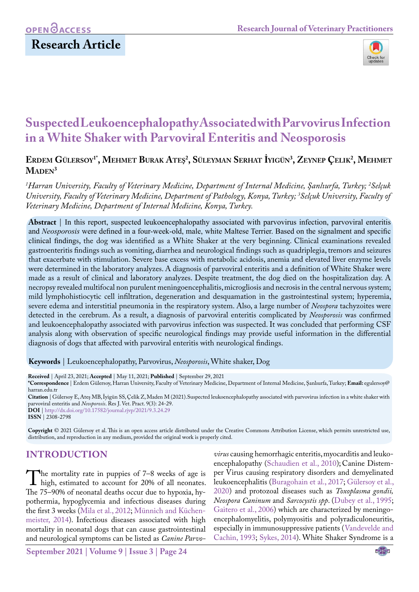## **OPEN**<sub>d</sub>

### **Research Article**



# **Suspected Leukoencephalopathy Associated with Parvovirus Infection in a White Shaker with Parvoviral Enteritis and Neosporosis**

### **Erdem Gülersoy1\*, Mehmet Burak Ateş2 , Süleyman Serhat İyigün3 , Zeynep Çelik2 , Mehmet** MADEN<sup>3</sup>

*1 Harran University, Faculty of Veterinary Medicine, Department of Internal Medicine, Şanlıurfa, Turkey; 2 Selçuk University, Faculty of Veterinary Medicine, Department of Pathology, Konya, Turkey; 3 Selçuk University, Faculty of Veterinary Medicine, Department of Internal Medicine, Konya, Turkey.*

**Abstract** | In this report, suspected leukoencephalopathy associated with parvovirus infection, parvoviral enteritis and *Neosporosis* were defined in a four-week-old, male, white Maltese Terrier. Based on the signalment and specific clinical findings, the dog was identified as a White Shaker at the very beginning. Clinical examinations revealed gastroenteritis findings such as vomiting, diarrhea and neurological findings such as quadriplegia, tremors and seizures that exacerbate with stimulation. Severe base excess with metabolic acidosis, anemia and elevated liver enzyme levels were determined in the laboratory analyzes. A diagnosis of parvoviral enteritis and a definition of White Shaker were made as a result of clinical and laboratory analyzes. Despite treatment, the dog died on the hospitalization day. A necropsy revealed multifocal non purulent meningoencephalitis, microgliosis and necrosis in the central nervous system; mild lymphohistiocytic cell infiltration, degeneration and desquamation in the gastrointestinal system; hyperemia, severe edema and interstitial pneumonia in the respiratory system. Also, a large number of *Neospora* tachyzoites were detected in the cerebrum. As a result, a diagnosis of parvoviral enteritis complicated by *Neosporosis* was confirmed and leukoencephalopathy associated with parvovirus infection was suspected. It was concluded that performing CSF analysis along with observation of specific neurological findings may provide useful information in the differential diagnosis of dogs that affected with parvoviral enteritis with neurological findings.

**Keywords** | Leukoencephalopathy, Parvovirus, *Neosporosis*, White shaker, Dog

**Received** | April 23, 2021; **Accepted** | May 11, 2021; **Published** | September 29, 2021

**\*Correspondence** | Erdem Gülersoy, Harran University, Faculty of Veterinary Medicine, Department of Internal Medicine, Şanlıurfa, Turkey; **Email:** egulersoy@ harran.edu.tr

**Citation** | Gülersoy E, Ateş MB, İyigün SS, Çelik Z, Maden M (2021).Suspected leukoencephalopathy associated with parvovirus infection in a white shaker with parvoviral enteritis and *Neosporosis*. Res J. Vet. Pract. 9(3): 24-29.

**DOI** | [http://dx.doi.org/10.17582/journal.rjvp/202](http://dx.doi.org/10.17582/journal.rjvp/2021/9.3.24.29)1/9.3.24.29 **ISSN** | 2308-2798

**Copyright** © 2021 Gülersoy et al. This is an open access article distributed under the Creative Commons Attribution License, which permits unrestricted use, distribution, and reproduction in any medium, provided the original work is properly cited.

### **Introduction**

The mortality rate in puppies of  $7-8$  weeks of age is<br>high, estimated to account for 20% of all neonates.<br>The  $75-90%$  of neonatal deaths occur due to bypoxia by-The 75–90% of neonatal deaths occur due to hypoxia, hypothermia, hypoglycemia and infectious diseases during the first 3 weeks ([Mila et al., 2012;](#page-4-0) [Münnich and Küchen](#page-4-1)[meister, 2014\)](#page-4-1). Infectious diseases associated with high mortality in neonatal dogs that can cause gastrointestinal and neurological symptoms can be listed as *Canine Parvo-* *virus* causing hemorrhagic enteritis, myocarditis and leukoencephalopathy [\(Schaudien et al., 2010](#page-4-2)); Canine Distemper Virus causing respiratory disorders and demyelinated leukoencephalitis [\(Buragohain et al., 2017](#page-4-3); [Gülersoy et al.,](#page-4-4) [2020\)](#page-4-4) and protozoal diseases such as *Toxoplasma gondii, Neospora Caninum* and *Sarcocystis spp*. ([Dubey et al., 1995;](#page-4-5) [Gaitero et al., 2006\)](#page-4-6) which are characterized by meningoencephalomyelitis, polymyositis and polyradiculoneuritis, especially in immunosuppressive patients ([Vandevelde and](#page-5-0) [Cachin, 1993](#page-5-0); [Sykes, 2014](#page-5-1)). White Shaker Syndrome is a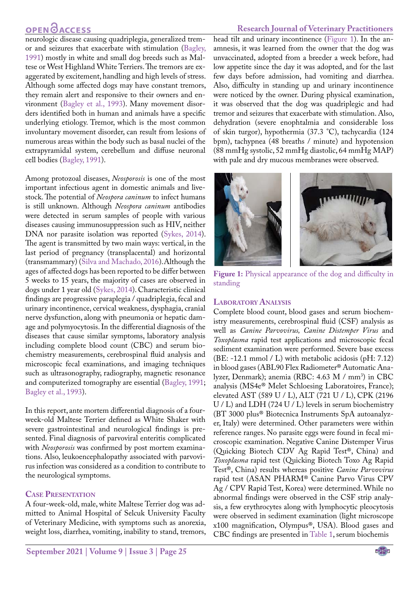### **OPEN**<sub>d</sub>

#### **Research Journal of Veterinary Practitioners**

neurologic disease causing quadriplegia, generalized tremor and seizures that exacerbate with stimulation [\(Bagley,](#page-4-7)  [1991](#page-4-7)) mostly in white and small dog breeds such as Maltese or West Highland White Terriers. The tremors are exaggerated by excitement, handling and high levels of stress. Although some affected dogs may have constant tremors, they remain alert and responsive to their owners and environment [\(Bagley et al., 1993](#page-4-8)). Many movement disorders identified both in human and animals have a specific underlying etiology. Tremor, which is the most common involuntary movement disorder, can result from lesions of numerous areas within the body such as basal nuclei of the extrapyramidal system, cerebellum and diffuse neuronal cell bodies [\(Bagley, 1991\)](#page-4-7).

Among protozoal diseases, *Neosporosis* is one of the most important infectious agent in domestic animals and livestock. The potential of *Neospora caninum* to infect humans is still unknown. Although *Neospora caninum* antibodies were detected in serum samples of people with various diseases causing immunosuppression such as HIV, neither DNA nor parasite isolation was reported ([Sykes, 2014](#page-5-1)). The agent is transmitted by two main ways: vertical, in the last period of pregnancy (transplacental) and horizontal (transmammary) ([Silva and Machado, 2016\)](#page-4-9).Although the ages of affected dogs has been reported to be differ between 5 weeks to 15 years, the majority of cases are observed in dogs under 1 year old [\(Sykes, 2014\)](#page-5-1). Characteristic clinical findings are progressive paraplegia / quadriplegia, fecal and urinary incontinence, cervical weakness, dysphagia, cranial nerve dysfunction, along with pneumonia or hepatic damage and polymyocytosis. In the differential diagnosis of the diseases that cause similar symptoms, laboratory analysis including complete blood count (CBC) and serum biochemistry measurements, cerebrospinal fluid analysis and microscopic fecal examinations, and imaging techniques such as ultrasonography, radiography, magnetic resonance and computerized tomography are essential ([Bagley, 1991;](#page-4-7) [Bagley et al., 1993\)](#page-4-8).

In this report, ante mortem differential diagnosis of a fourweek-old Maltese Terrier defined as White Shaker with severe gastrointestinal and neurological findings is presented. Final diagnosis of parvoviral enteritis complicated with *Neosporosis* was confirmed by post mortem examinations. Also, leukoencephalopathy associated with parvovirus infection was considered as a condition to contribute to the neurological symptoms.

#### **Case Presentation**

A four-week-old, male, white Maltese Terrier dog was admitted to Animal Hospital of Selcuk University Faculty of Veterinary Medicine, with symptoms such as anorexia, weight loss, diarrhea, vomiting, inability to stand, tremors,

head tilt and urinary incontinence ([Figure 1](#page-1-0)). In the anamnesis, it was learned from the owner that the dog was unvaccinated, adopted from a breeder a week before, had low appetite since the day it was adopted, and for the last few days before admission, had vomiting and diarrhea. Also, difficulty in standing up and urinary incontinence were noticed by the owner. During physical examination, it was observed that the dog was quadriplegic and had tremor and seizures that exacerbate with stimulation. Also, dehydration (severe enophtalmia and considerable loss of skin turgor), hypothermia (37.3 °C), tachycardia (124 bpm), tachypnea (48 breaths / minute) and hypotension (88 mmHg systolic, 52 mmHg diastolic, 64 mmHg MAP) with pale and dry mucous membranes were observed.



**Figure 1:** Physical appearance of the dog and difficulty in standing

### <span id="page-1-0"></span>**Laboratory Analysis**

Complete blood count, blood gases and serum biochemistry measurements, cerebrospinal fluid (CSF) analysis as well as *Canine Parvovirus, Canine Distemper Virus* and *Toxoplasma* rapid test applications and microscopic fecal sediment examination were performed. Severe base excess (BE: -12.1 mmol / L) with metabolic acidosis (pH: 7.12) in blood gases (ABL90 Flex Radiometer® Automatic Analyzer, Denmark); anemia (RBC: 4.63 M / mm<sup>3</sup>) in CBC analysis (MS4e® Melet Schloesing Laboratoires, France); elevated AST (589 U / L), ALT (721 U / L), CPK (2196 U / L) and LDH (724 U / L) levels in serum biochemistry (BT 3000 plus® Biotecnica Instruments SpA autoanalyzer, Italy) were determined. Other parameters were within reference ranges. No parasite eggs were found in fecal microscopic examination. Negative Canine Distemper Virus (Quicking Biotech CDV Ag Rapid Test®, China) and *Toxoplasma* rapid test (Quicking Biotech Toxo Ag Rapid Test®, China) results whereas positive *Canine Parvovirus*  rapid test (ASAN PHARM® Canine Parvo Virus CPV Ag / CPV Rapid Test, Korea) were determined. While no abnormal findings were observed in the CSF strip analysis, a few erythrocytes along with lymphocytic pleocytosis were observed in sediment examination (light microscope x100 magnification, Olympus®, USA). Blood gases and CBC findings are presented in [Table 1](#page-2-0), serum biochemis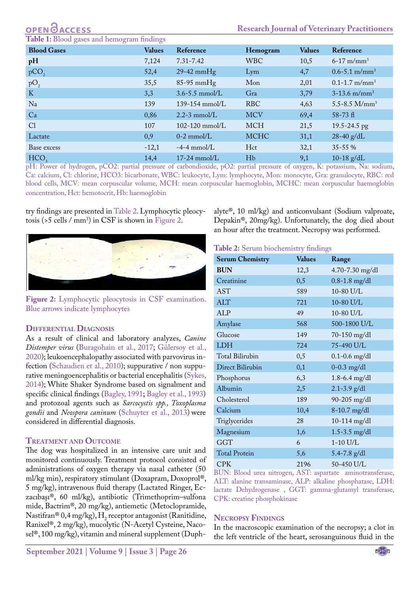#### <span id="page-2-0"></span>**Blood gases and hemogram findings**

| $\sigma$<br><b>Blood Gases</b> | ⌒<br><b>Values</b> | Reference          | Hemogram    | <b>Values</b> | Reference                     |
|--------------------------------|--------------------|--------------------|-------------|---------------|-------------------------------|
| pH                             | 7,124              | $7.31 - 7.42$      | <b>WBC</b>  | 10,5          | $6 - 17$ m/mm <sup>3</sup>    |
| pCO <sub>2</sub>               | 52,4               | $29-42$ mmHg       | Lym         | 4,7           | $0.6 - 5.1$ m/mm <sup>3</sup> |
| pO <sub>2</sub>                | 35,5               | $85-95$ mmHg       | Mon         | 2,01          | $0.1 - 1.7$ m/mm <sup>3</sup> |
| K                              | 3,3                | $3.6 - 5.5$ mmol/L | Gra         | 3,79          | $3-13.6$ m/mm <sup>3</sup>    |
| Na                             | 139                | $139 - 154$ mmol/L | <b>RBC</b>  | 4,63          | 5.5-8.5 $M/mm^3$              |
| Ca                             | 0,86               | $2.2 - 3$ mmol/L   | <b>MCV</b>  | 69,4          | $58 - 73$ fl                  |
| Cl                             | 107                | $102 - 120$ mmol/L | <b>MCH</b>  | 21,5          | 19.5-24.5 pg                  |
| Lactate                        | 0,9                | $0-2$ mmol/L       | <b>MCHC</b> | 31,1          | $28-40$ g/dL                  |
| Base excess                    | $-12,1$            | $-4-4$ mmol/L      | Hct         | 32,1          | 35-55 %                       |
| HCO <sub>3</sub>               | 14,4               | $17-24$ mmol/L     | Hb          | 9,1           | 10-18 $g/dL$                  |

pH: Power of hydrogen, pCO2: partial pressure of carbondioxide, pO2: partial pressure of oxygen, K: potassium, Na: sodium, Ca: calcium, Cl: chlorine, HCO3: bicarbonate, WBC: leukocyte, Lym: lymphocyte, Mon: monocyte, Gra: granulocyte, RBC: red blood cells, MCV: mean corpuscular volume, MCH: mean corpuscular haemoglobin, MCHC: mean corpuscular haemoglobin concentration, Hct: hemotocrit, Hb: haemoglobin

try findings are presented in [Table 2](#page-2-1). Lymphocytic pleocytosis (>5 cells /  $mm<sup>3</sup>$ ) in CSF is shown in [Figure 2](#page-2-2).



**Figure 2:** Lymphocytic pleocytosis in CSF examination. Blue arrows indicate lymphocytes

#### <span id="page-2-2"></span>**Differential Diagnosis**

As a result of clinical and laboratory analyzes, *Canine Distemper virus* [\(Buragohain et al., 2017;](#page-4-3) [Gülersoy et al.,](#page-4-10)  [2020\)](#page-4-10); leukoencephalopathy associated with parvovirus infection ([Schaudien et al., 2010\)](#page-4-2); suppurative / non suppurative meningoencephalitis or bacterial encephalitis [\(Sykes,](#page-5-1)  [2014\)](#page-5-1); White Shaker Syndrome based on signalment and specific clinical findings ([Bagley, 1991](#page-4-7); [Bagley et al., 1993\)](#page-4-8) and protozoal agents such as *Sarcocystis spp., Toxoplasma gondii* and *Neospora caninum* [\(Schuyter et al., 2013](#page-4-11)) were considered in differential diagnosis.

#### **Treatment and Outcome**

The dog was hospitalized in an intensive care unit and monitored continuously. Treatment protocol consisted of administrations of oxygen therapy via nasal catheter (50 ml/kg min), respiratory stimulant (Doxapram, Doxoprol®, 5 mg/kg), intravenous fluid therapy (Lactated Ringer, Eczacıbaşı®, 60 ml/kg), antibiotic (Trimethoprim–sulfona mide, Bactrim®, 20 mg/kg), antiemetic (Metoclopramide, Nastifran® 0,4 mg/kg),  $H_2$  receptor antagonist (Ranitidine, Ranixel®, 2 mg/kg), mucolytic (N-Acetyl Cysteine, Nacosel®, 100 mg/kg), vitamin and mineral supplement (Duphalyte®, 10 ml/kg) and anticonvulsant (Sodium valproate, Depakin®, 20mg/kg). Unfortunately, the dog died about an hour after the treatment. Necropsy was performed.

#### <span id="page-2-1"></span>**Table 2:** Serum biochemistry findings

| <b>Serum Chemistry</b> | <b>Values</b> | Range             |
|------------------------|---------------|-------------------|
| <b>BUN</b>             | 12,3          | 4.70-7.30 mg/dl   |
| Creatinine             | 0,5           | $0.8 - 1.8$ mg/dl |
| AST                    | 589           | 10-80 U/L         |
| <b>ALT</b>             | 721           | 10-80 U/L         |
| <b>ALP</b>             | 49            | 10-80 U/L         |
| Amylase                | 568           | 500-1800 U/L      |
| Glucose                | 149           | 70-150 mg/dl      |
| <b>LDH</b>             | 724           | 75-490 U/L        |
| Total Bilirubin        | 0,5           | $0.1 - 0.6$ mg/dl |
| Direct Bilirubin       | 0,1           | $0 - 0.3$ mg/dl   |
| Phosphorus             | 6,3           | $1.8 - 6.4$ mg/dl |
| Albumin                | 2,5           | $2.1 - 3.9$ g/dl  |
| Cholesterol            | 189           | 90-205 mg/dl      |
| Calcium                | 10,4          | $8-10.7$ mg/dl    |
| Triglycerides          | 28            | 10-114 mg/dl      |
| Magnesium              | 1,6           | $1.5 - 3.5$ mg/dl |
| <b>GGT</b>             | 6             | $1-10$ U/L        |
| <b>Total Protein</b>   | 5,6           | $5.4 - 7.8$ g/dl  |
| <b>CPK</b>             | 2196          | 50-450 U/L        |

BUN: Blood urea nitrogen, AST: aspartate aminotransferase, ALT: alanine transaminase, ALP: alkaline phosphatase, LDH: lactate Dehydrogenase , GGT: gamma-glutamyl transferase, CPK: creatine phosphokinase

#### **Necropsy Findings**

In the macroscopic examination of the necropsy; a clot in the left ventricle of the heart, serosanguinous fluid in the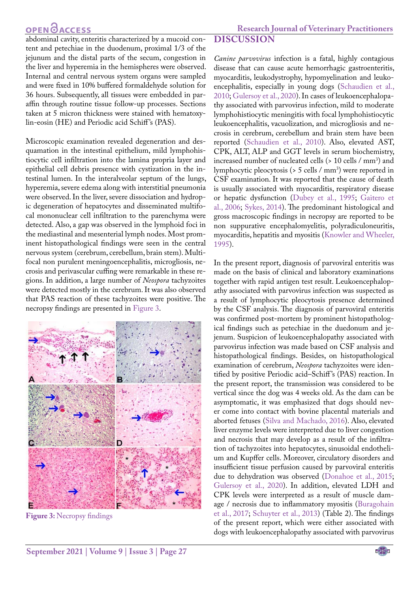### **OPEN CACCESS**

 **Research Journal of Veterinary Practitioners**

abdominal cavity, enteritis characterized by a mucoid content and petechiae in the duodenum, proximal 1/3 of the jejunum and the distal parts of the secum, congestion in the liver and hyperemia in the hemispheres were observed. Internal and central nervous system organs were sampled and were fixed in 10% buffered formaldehyde solution for 36 hours. Subsequently, all tissues were embedded in paraffin through routine tissue follow-up processes. Sections taken at 5 micron thickness were stained with hematoxylin-eosin (HE) and Periodic acid Schiff 's (PAS).

Microscopic examination revealed degeneration and desquamation in the intestinal epithelium, mild lymphohistiocytic cell infiltration into the lamina propria layer and epithelial cell debris presence with cystization in the intestinal lumen. In the interalveolar septum of the lungs, hyperemia, severe edema along with interstitial pneumonia were observed. In the liver, severe dissociation and hydropic degeneration of hepatocytes and disseminated multifocal mononuclear cell infiltration to the parenchyma were detected. Also, a gap was observed in the lymphoid foci in the mediastinal and mesenterial lymph nodes. Most prominent histopathological findings were seen in the central nervous system (cerebrum, cerebellum, brain stem). Multifocal non purulent meningoencephalitis, microgliosis, necrosis and perivascular cuffing were remarkable in these regions. In addition, a large number of *Neospora* tachyzoites were detected mostly in the cerebrum. It was also observed that PAS reaction of these tachyzoites were positive. The necropsy findings are presented i[n Figure 3](#page-3-0).



<span id="page-3-0"></span>**Figure 3:** Necropsy findings

*Canine parvovirus* infection is a fatal, highly contagious disease that can cause acute hemorrhagic gastroenteritis, myocarditis, leukodystrophy, hypomyelination and leukoencephalitis, especially in young dogs ([Schaudien et al.,](#page-4-2)  [2010;](#page-4-2) [Gulersoy et al., 2020\)](#page-4-10). In cases of leukoencephalopathy associated with parvovirus infection, mild to moderate lymphohistiocytic meningitis with focal lymphohistiocytic leukoencephalitis, vacuolization, and microgliosis and necrosis in cerebrum, cerebellum and brain stem have been reported ([Schaudien et al., 2010\)](#page-4-2). Also, elevated AST, CPK, ALT, ALP and GGT levels in serum biochemistry, increased number of nucleated cells (> 10 cells / mm3 ) and lymphocytic pleocytosis (> 5 cells / mm3 ) were reported in CSF examination. It was reported that the cause of death is usually associated with myocarditis, respiratory disease or hepatic dysfunction [\(Dubey et al., 1995;](#page-4-5) [Gaitero et](#page-4-6)  [al., 2006;](#page-4-6) [Sykes, 2014](#page-5-1)). The predominant histological and gross macroscopic findings in necropsy are reported to be non suppurative encephalomyelitis, polyradiculoneuritis, myocarditis, hepatitis and myositis ([Knowler and Wheeler,](#page-4-12)  [1995\)](#page-4-12).

In the present report, diagnosis of parvoviral enteritis was made on the basis of clinical and laboratory examinations together with rapid antigen test result. Leukoencephalopathy associated with parvovirus infection was suspected as a result of lymphocytic pleocytosis presence determined by the CSF analysis. The diagnosis of parvoviral enteritis was confirmed post-mortem by prominent histopathological findings such as petechiae in the duedonum and jejenum. Suspicion of leukoencephalopathy associated with parvovirus infection was made based on CSF analysis and histopathological findings. Besides, on histopathological examination of cerebrum, *Neospora* tachyzoites were identified by positive Periodic acid–Schiff 's (PAS) reaction. In the present report, the transmission was considered to be vertical since the dog was 4 weeks old. As the dam can be asymptomatic, it was emphasized that dogs should never come into contact with bovine placental materials and aborted fetuses [\(Silva and Machado, 2016](#page-4-9)). Also, elevated liver enzyme levels were interpreted due to liver congestion and necrosis that may develop as a result of the infiltration of tachyzoites into hepatocytes, sinusoidal endothelium and Kupffer cells. Moreover, circulatory disorders and insufficient tissue perfusion caused by parvoviral enteritis due to dehydration was observed [\(Donahoe et al., 2015](#page-4-13); [Gulersoy et al., 2020](#page-4-10)). In addition, elevated LDH and CPK levels were interpreted as a result of muscle damage / necrosis due to inflammatory myositis [\(Buragohain](#page-4-3)  [et al., 2017](#page-4-3); [Schuyter et al., 2013](#page-4-11)) (Table 2). The findings of the present report, which were either associated with dogs with leukoencephalopathy associated with parvovirus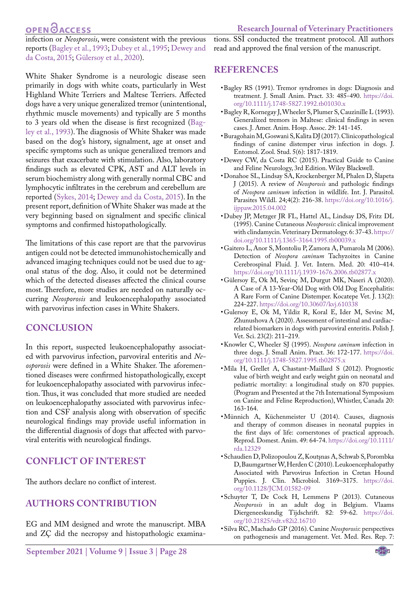### OPEN **OACCESS**

tions. SSİ conducted the treatment protocol. All authors read and approved the final version of the manuscript.

infection or *Neosporosis*, were consistent with the previous reports [\(Bagley et al., 1993](#page-4-8); [Dubey et al., 1995](#page-4-5); [Dewey and](#page-4-14)  [da Costa, 2015](#page-4-14); [Gülersoy et al., 2020\)](#page-4-10).

White Shaker Syndrome is a neurologic disease seen primarily in dogs with white coats, particularly in West Highland White Terriers and Maltese Terriers. Affected dogs have a very unique generalized tremor (unintentional, rhythmic muscle movements) and typically are 5 months to 3 years old when the disease is first recognized ([Bag](#page-4-8)[ley et al., 1993](#page-4-8)). The diagnosis of White Shaker was made based on the dog's history, signalment, age at onset and specific symptoms such as unique generalized tremors and seizures that exacerbate with stimulation. Also, laboratory findings such as elevated CPK, AST and ALT levels in serum biochemistry along with generally normal CBC and lymphocytic infiltrates in the cerebrum and cerebellum are reported [\(Sykes, 2014](#page-5-1); [Dewey and da Costa, 2015\)](#page-4-14). In the present report, definition of White Shaker was made at the very beginning based on signalment and specific clinical symptoms and confirmed histopathologically.

The limitations of this case report are that the parvovirus antigen could not be detected immunohistochemically and advanced imaging techniques could not be used due to agonal status of the dog. Also, it could not be determined which of the detected diseases affected the clinical course most. Therefore, more studies are needed on naturally occurring *Neosporosis* and leukoencephalopathy associated with parvovirus infection cases in White Shakers.

### **Conclusion**

In this report, suspected leukoencephalopathy associated with parvovirus infection, parvoviral enteritis and *Neosporosis* were defined in a White Shaker. The aforementioned diseases were confirmed histopathologically, except for leukoencephalopathy associated with parvovirus infection. Thus, it was concluded that more studied are needed on leukoencephalopathy associated with parvovirus infection and CSF analysis along with observation of specific neurological findings may provide useful information in the differential diagnosis of dogs that affected with parvoviral enteritis with neurological findings.

### **conflict of interest**

The authors declare no conflict of interest.

### **authors contribution**

EG and MM designed and wrote the manuscript. MBA and ZÇ did the necropsy and histopathologic examina-

# **References**

- <span id="page-4-7"></span>• Bagley RS (1991). Tremor syndromes in dogs: Diagnosis and treatment. J. Small Anim. Pract. 33: 485-490. [https://doi.](https://doi.org/10.1111/j.1748-5827.1992.tb01030.x ) [org/10.1111/j.1748-5827.1992.tb01030.x](https://doi.org/10.1111/j.1748-5827.1992.tb01030.x )
- <span id="page-4-8"></span>• Bagley R, Kornegay J, Wheeler S, Plumer S, Cauzinille L (1993). Generalized tremors in Maltese: clinical findings in seven cases. J. Amer. Anim. Hosp. Assoc. 29: 141-145.
- <span id="page-4-3"></span>• Buragohain M, Goswani S, Kalita DJ (2017). Clinicopathological findings of canine distemper virus infection in dogs. J. Entomol. Zool. Stud. 5(6): 1817-1819.
- <span id="page-4-14"></span>• Dewey CW, da Costa RC (2015). Practical Guide to Canine and Feline Neurology, 3rd Edition. Wiley Blackwell.
- <span id="page-4-13"></span>• Donahoe SL, Lindsay SA, Krockenberger M, Phalen D, Šlapeta J (2015). A review of *Neosporosis* and pathologic findings of *Neospora caninum* infection in wildlife. Int. J. Parasitol. Parasites Wildl. 24;4(2): 216-38. [https://doi.org/10.1016/j.](https://doi.org/10.1016/j.ijppaw.2015.04.002 ) [ijppaw.2015.04.002](https://doi.org/10.1016/j.ijppaw.2015.04.002 )
- <span id="page-4-5"></span>• Dubey JP, Metzger JR FL, Hattel AL, Lindsay DS, Fritz DL (1995). Canine Cutaneous *Neosporosis*: clinical improvement with clindamycin. Veterinary Dermatology. 6: 37-43. [https://](https://doi.org/10.1111/j.1365-3164.1995.tb00039.x ) [doi.org/10.1111/j.1365-3164.1995.tb00039.x](https://doi.org/10.1111/j.1365-3164.1995.tb00039.x )
- <span id="page-4-6"></span>• Gaitero L, Anor S, Montoliu P, Zamora A, Pumarola M (2006). Detection of *Neospora caninum* Tachyzoites in Canine Cerebrospinal Fluid. J. Vet. Intern. Med. 20: 410–414. [https://doi.org/10.1111/j.1939-1676.2006.tb02877.x](https://doi.org/10.1111/j.1939-1676.2006.tb02877.x )
- <span id="page-4-10"></span>• Gülersoy E, Ok M, Sevinç M, Durgut MK, Naseri A (2020). A Case of A 13-Year-Old Dog with Old Dog Encephalitis: A Rare Form of Canine Distemper. Kocatepe Vet. J. 13(2): 224-227. <https://doi.org/10.30607/kvj.610338>
- <span id="page-4-4"></span>• Gulersoy E, Ok M, Yildiz R, Koral E, Ider M, Sevinc M, Zhunushova A (2020). Assessment of intestinal and cardiacrelated biomarkers in dogs with parvoviral enteritis. Polish J. Vet. Sci. 23(2): 211–219.
- <span id="page-4-12"></span>• Knowler C, Wheeler SJ (1995). *Neospora caninum* infection in three dogs. J. Small Anim. Pract. 36: 172-177. [https://doi.](https://doi.org/10.1111/j.1748-5827.1995.tb02875.x) [org/10.1111/j.1748-5827.1995.tb02875.x](https://doi.org/10.1111/j.1748-5827.1995.tb02875.x)
- <span id="page-4-0"></span>• Mila H, Grellet A, Chastant-Maillard S (2012). Prognostic value of birth weight and early weight gain on neonatal and pediatric mortality: a longitudinal study on 870 puppies. (Program and Presented at the 7th International Symposium on Canine and Feline Reproduction), Whistler, Canada 20: 163-164.
- <span id="page-4-1"></span>• Münnich A, Küchenmeister U (2014). Causes, diagnosis and therapy of common diseases in neonatal puppies in the first days of life: cornerstones of practical approach. Reprod. Domest. Anim. 49: 64-74. [https://doi.org/10.1111/](https://doi.org/10.1111/rda.12329 ) [rda.12329](https://doi.org/10.1111/rda.12329 )
- <span id="page-4-2"></span>• Schaudien D, Polizopoulou Z, Koutşnas A, Schwab S, Porombka D, Baumgartner W, Herden C (2010). Leukoencephalopathy Associated with Parvovirus Infection in Cretan Hound Puppies. J. Clin. Microbiol. 3169–3175. [https://doi.](https://doi.org/10.1128/JCM.01582-09 ) [org/10.1128/JCM.01582-09](https://doi.org/10.1128/JCM.01582-09 )
- <span id="page-4-11"></span>• Schuyter T, De Cock H, Lemmens P (2013). Cutaneous *Neosporosis* in an adult dog in Belgium. Vlaams Diergeneeskundig Tijdschrift. 82: 59-62. [https://doi.](https://doi.org/10.21825/vdt.v82i2.16710 ) [org/10.21825/vdt.v82i2.16710](https://doi.org/10.21825/vdt.v82i2.16710 )
- <span id="page-4-9"></span>• Silva RC, Machado GP (2016). Canine *Neosporosis*: perspectives on pathogenesis and management. Vet. Med. Res. Rep. 7: